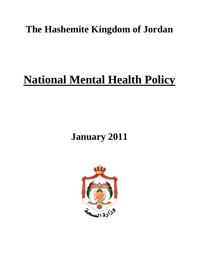# **The Hashemite Kingdom of Jordan**

# **National Mental Health Policy**

# **January 2011**

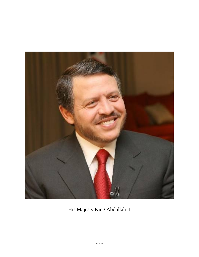

His Majesty King Abdullah II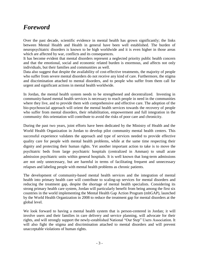# *Foreword*

Over the past decade, scientific evidence in mental health has grown significantly; the links between Mental Health and Health in general have been well established. The burden of neuropsychiatric disorders is known to be high worldwide and it is even higher in those areas which are affected by war, conflicts and its consequences.

It has become evident that mental disorders represent a neglected priority public health concern and that the emotional, social and economic related burden is enormous, and affects not only individuals, but their families and communities as well.

Data also suggest that despite the availability of cost-effective treatments, the majority of people who suffer from severe mental disorders do not receive any kind of care. Furthermore, the stigma and discrimination attached to mental disorders, and to people who suffer from them call for urgent and significant actions in mental health worldwide.

In Jordan, the mental health system needs to be strengthened and decentralized. Investing in community-based mental health services is necessary to reach people in need in the communities where they live, and to provide them with comprehensive and effective care. The adoption of the bio-psychosocial approach will orient the mental health services towards the recovery of people who suffer from mental disorders, their rehabilitation, empowerment and full integration in the community: this orientation will contribute to avoid the risks of poor care and chronicity.

During the past two years, joint efforts have been dedicated by the Ministry of Health and the World Health Organization in Jordan to develop pilot community mental health centers. This successful experience validates the approach and type of services needed to provide effective quality care for people with mental health problems, while at the same time respecting their dignity and protecting their human rights. Yet another important action to take is to move the psychiatric beds from large psychiatric hospitals (centralized in Amman) to small acute admission psychiatric units within general hospitals. It is well known that long-term admissions are not only unnecessary, but are harmful in terms of facilitating frequent and unnecessary relapses and labeling people with mental health problems as chronic patients.

The development of community-based mental health services and the integration of mental health into primary health care will contribute to scaling-up services for mental disorders and reducing the treatment gap, despite the shortage of mental health specialists. Considering its strong primary health care system, Jordan will particularly benefit from being among the first six countries in the world implementing the Mental Health Gap Action Program (mhGAP), launched by the World Health Organization in 2008 to reduce the treatment gap for mental disorders at the global level.

We look forward to having a mental health system that is person-centered in Jordan; it will involve users and their families in care delivery and service planning, will advocate for their rights, and will strongly support the newly-established National "Our Step" Users Association. It will also fight the stigma and discrimination attached to mental disorders and will prevent unacceptable violations of human rights.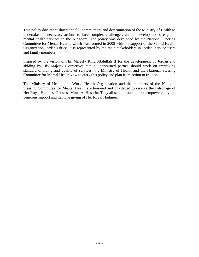This policy document shows the full commitment and determination of the Ministry of Health to undertake the necessary actions to face complex challenges, and to develop and strengthen mental health services in the Kingdom. The policy was developed by the National Steering Committee for Mental Health, which was formed in 2008 with the support of the World Health Organization Jordan Office. It is represented by the main stakeholders in Jordan, service users and family members.

Inspired by the vision of His Majesty King Abdullah II for the development of Jordan and abiding by His Majesty's directives that all concerned parties should work on improving standard of living and quality of services, the Ministry of Health and the National Steering Committee for Mental Health vow to carry this policy and plan from action to fruition.

The Ministry of Health, the World Health Organization and the members of the National Steering Committee for Mental Health are honored and privileged to receive the Patronage of Her Royal Highness Princess Muna Al Hussein. They all stand proud and are empowered by the generous support and genuine giving of Her Royal Highness.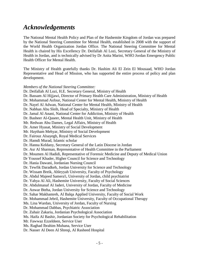# *Acknowledgements*

The National Mental Health Policy and Plan of the Hashemite Kingdom of Jordan was prepared by the National Steering Committee for Mental Health, established in 2008 with the support of the World Health Organization Jordan Office. The National Steering Committee for Mental Health is chaired by His Excellency Dr. Deifallah Al Lozi, Secretary General of the Ministry of Health in Jordan, and is technically advised by Dr Anita Marini, WHO Jordan Emergency Public Health Officer for Mental Health.

The Ministry of Health gratefully thanks Dr. Hashim Ali El Zein El Mousaad, WHO Jordan Representative and Head of Mission, who has supported the entire process of policy and plan development.

*Members of the National Steering Committee:*

Dr. Deifallah Al Lozi, H.E. Secretary General, Ministry of Health

Dr. Bassam Al Hijjawi, Director of Primary Health Care Administration, Ministry of Health

Dr. Mohammad Asfour, National Center for Mental Health, Ministry of Health

Dr. Nayel Al Adwan, National Center for Mental Health, Ministry of Health

Dr. Nabhan Abu Sleih, Head of Specialty, Ministry of Health

Dr. Jamal Al Anani, National Center for Addiction, Ministry of Health

Dr. Basheer Al-Qaseer, Mental Health Unit, Ministry of Health

Mr. Redwan Abu Dames, Legal Affairs, Ministry of Health

Dr. Amer Hyasat, Ministry of Social Development

Mr. Haytham Mehyar, Ministry of Social Development

Dr. Fairouz Alsayegh, Royal Medical Services

Dr. Hamdi Murad, Islamic scholar

Dr. Hanna Keldany, Secretary General of the Latin Diocese in Jordan

Dr. Asr Al Sharman, Representative of Health Committee in the Parliament

Dr. Moumen Al Hadidi, Representative of Forensic Medicine and Deputy of Medical Union

Dr Youssef Khader, Higher Council for Science and Technology

Dr. Hania Dawani, Jordanian Nursing Council

Dr. Tewfik Daradkeh, Jordan University for Science and Technology

Dr. Wissam Breik, Ahleyyah University, Faculty of Psychology

Dr. Abdul Majeed Samera'i, University of Jordan, child psychiatrist

Dr. Yahya Al Ali, Hashemite University, Faculty of Social Sciences

Dr. Abdulmanaf Al Jaderi, University of Jordan, Faculty of Medicine

Dr. Anwar Bteha, Jordan University for Science and Technology

Dr. Sahar Makhamreh, Al Balqa Applied University, Faculty of Social Work

Dr. Mohammad Jebril, Hashemite University, Faculty of Occupational Therapy

Ms. Lina Wardan, University of Jordan, Faculty of Nursing

Dr. Mohammad Dabbas, Psychiatric Association

Dr. Zuhair Zakaria, Jordanian Psychological Association

Ms. Haifa Al Bashir, Jordanian Society for Psychological Rehabilitation

Mr. Fawwaz Ezzeldeen, Service User

Ms. Raghad Ibrahim Muhana, Service User

Dr. Nasser Al Deen Al Shreqi, Al Rasheed Hospital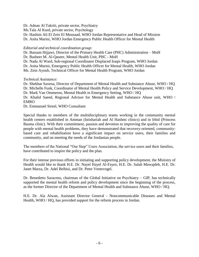Dr. Adnan Al Takriti, private sector, Psychiatry

Ms.Tala Al Kurd, private sector, Psychology

Dr. Hashim Ali El Zein El Mousaad, WHO Jordan Representative and Head of Mission Dr. Anita Marini, WHO Jordan Emergency Public Health Officer for Mental Health

### *Editorial and technical coordination group:*

Dr. Bassam Hijjawi, Director of the Primary Health Care (PHC) Administration – MoH Dr. Basheer M. Al-Qaseer, Mental Health Unit, PHC - MoH Dr. Nada Al Ward, Sub-regional Coordinator Displaced Iraqis Program, WHO Jordan

Dr. Anita Marini, Emergency Public Health Officer for Mental Health, WHO Jordan

Ms. Zein Ayoub, Technical Officer for Mental Health Program, WHO Jordan

### *Technical Assistance:*

Dr. Shekhar Saxena, Director of Department of Mental Health and Substance Abuse, WHO / HQ Dr. Michelle Funk, Coordinator of Mental Health Policy and Service Development, WHO / HQ Dr. Mark Van Ommeren, Mental Health in Emergency Setting, WHO / HQ Dr. Khalid Saeed, Regional Advisor for Mental Health and Substance Abuse unit, WHO /

EMRO

Dr. Emmanuel Streel, WHO Consultant

Special thanks to members of the multidisciplinary teams working in the community mental health centers established in Amman (Istishariah and Al Hashmi clinics) and in Irbid (Princess Basma clinic). With their commitment, passion and devotion to improving the quality of care for people with mental health problems, they have demonstrated that recovery-oriented, communitybased care and rehabilitation have a significant impact on service users, their families and community, and on meeting the needs of the Jordanian people.

The members of the National "Our Step" Users Association, the service users and their families, have contributed to inspire the policy and the plan.

For their intense previous efforts in initiating and supporting policy development, the Ministry of Health would like to thank H.E. Dr. Nayel Hayel Al-Fayez, H.E. Dr. Salah Mawajdeh, H.E. Dr. Janet Marza, Dr. Adel Belbisi, and Dr. Peter Ventevogel.

Dr. Benedetto Saraceno, chairman of the Global Initiative on Psychiatry – GIP, has technically supported the mental health reform and policy development since the beginning of the process, as the former Director of the Department of Mental Health and Substance Abuse, WHO / HQ.

H.E. Dr. Ala Alwan, Assistant Director General - Noncommunicable Diseases and Mental Health, WHO / HQ, has provided support for the reform process in Jordan.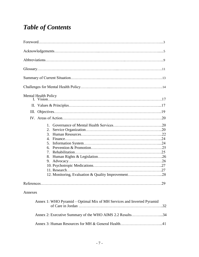# *Table of Contents*

| <b>Mental Health Policy</b>                                                                                                           |    |
|---------------------------------------------------------------------------------------------------------------------------------------|----|
|                                                                                                                                       |    |
| III.                                                                                                                                  |    |
|                                                                                                                                       |    |
| $1 -$<br>2.<br>3.<br>4 <sup>1</sup><br>5.<br>6.<br>7.<br>8.<br>9.<br>12. Monitoring, Evaluation & Quality Improvement28<br>References | 29 |
| Annexes                                                                                                                               |    |
| Annex 1: WHO Pyramid – Optimal Mix of MH Services and Inverted Pyramid                                                                |    |
| Annex 2: Executive Summary of the WHO AIMS 2.2 Results34                                                                              |    |

Annex 3: Human Resources for MH & General Health…………………………...41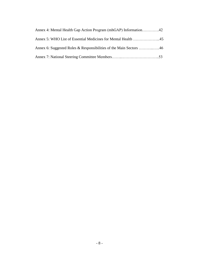| Annex 5: WHO List of Essential Medicines for Mental Health 45 |  |
|---------------------------------------------------------------|--|
|                                                               |  |
|                                                               |  |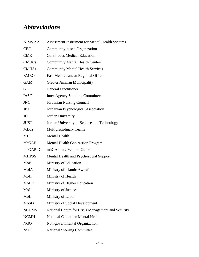# *Abbreviations*

| <b>AIMS 2.2</b> | Assessment Instrument for Mental Health Systems    |
|-----------------|----------------------------------------------------|
| <b>CBO</b>      | Community-based Organization                       |
| <b>CME</b>      | <b>Continuous Medical Education</b>                |
| <b>CMHCs</b>    | <b>Community Mental Health Centers</b>             |
| <b>CMHSs</b>    | <b>Community Mental Health Services</b>            |
| <b>EMRO</b>     | East Mediterranean Regional Office                 |
| <b>GAM</b>      | Greater Amman Municipality                         |
| <b>GP</b>       | <b>General Practitioner</b>                        |
| <b>IASC</b>     | <b>Inter-Agency Standing Committee</b>             |
| <b>JNC</b>      | <b>Jordanian Nursing Council</b>                   |
| <b>JPA</b>      | Jordanian Psychological Association                |
| JU              | Jordan University                                  |
| <b>JUST</b>     | Jordan University of Science and Technology        |
| <b>MDTs</b>     | <b>Multidisciplinary Teams</b>                     |
| MН              | <b>Mental Health</b>                               |
| mhGAP           | Mental Health Gap Action Program                   |
| mhGAP-IG        | mhGAP Intervention Guide                           |
| <b>MHPSS</b>    | Mental Health and Psychosocial Support             |
| MoE             | Ministry of Education                              |
| MoIA            | Ministry of Islamic Awqaf                          |
| MoH             | Ministry of Health                                 |
| <b>MoHE</b>     | Ministry of Higher Education                       |
| MoJ             | Ministry of Justice                                |
| MoL             | Ministry of Labor                                  |
| MoSD            | Ministry of Social Development                     |
| <b>NCCMS</b>    | National Centre for Crisis Management and Security |
| <b>NCMH</b>     | <b>National Centre for Mental Health</b>           |
| <b>NGO</b>      | Non-governmental Organization                      |
| <b>NSC</b>      | <b>National Steering Committee</b>                 |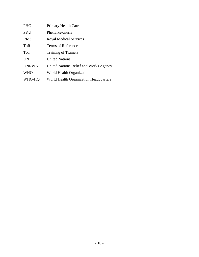| <b>PHC</b>   | Primary Health Care                    |
|--------------|----------------------------------------|
| PKU          | Phenylketonuria                        |
| <b>RMS</b>   | <b>Royal Medical Services</b>          |
| ToR          | Terms of Reference                     |
| <b>ToT</b>   | <b>Training of Trainers</b>            |
| <b>UN</b>    | <b>United Nations</b>                  |
| <b>UNRWA</b> | United Nations Relief and Works Agency |
| <b>WHO</b>   | World Health Organization              |
| WHO-HQ       | World Health Organization Headquarters |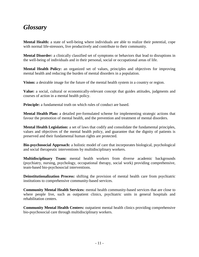# *Glossary*

**Mental Health:** a state of well-being where individuals are able to realize their potential, cope with normal life-stressors, live productively and contribute to their community.

**Mental Disorder:** a clinically classified set of symptoms or behaviors that lead to disruptions in the well-being of individuals and in their personal, social or occupational areas of life.

**Mental Health Policy:** an organized set of values, principles and objectives for improving mental health and reducing the burden of mental disorders in a population.

**Vision:** a desirable image for the future of the mental health system in a country or region.

**Value:** a social, cultural or economically-relevant concept that guides attitudes, judgments and courses of action in a mental health policy.

**Principle:** a fundamental truth on which rules of conduct are based.

**Mental Health Plan:** a detailed pre-formulated scheme for implementing strategic actions that favour the promotion of mental health, and the prevention and treatment of mental disorders.

**Mental Health Legislation:** a set of laws that codify and consolidate the fundamental principles, values and objectives of the mental health policy, and guarantee that the dignity of patients is preserved and their fundamental human rights are protected.

**Bio-psychosocial Approach:** a holistic model of care that incorporates biological, psychological and social therapeutic interventions by multidisciplinary workers.

**Multidisciplinary Team:** mental health workers from diverse academic backgrounds (psychiatry, nursing, psychology, occupational therapy, social work) providing comprehensive, team-based bio-psychosocial interventions.

**Deinstitutionalization Process:** shifting the provision of mental health care from psychiatric institutions to comprehensive community-based services.

**Community Mental Health Services:** mental health community-based services that are close to where people live, such as outpatient clinics, psychiatric units in general hospitals and rehabilitation centers.

**Community Mental Health Centers:** outpatient mental health clinics providing comprehensive bio-psychosocial care through multidisciplinary workers.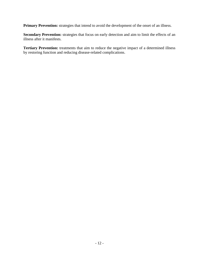**Primary Prevention:** strategies that intend to avoid the development of the onset of an illness.

Secondary Prevention: strategies that focus on early detection and aim to limit the effects of an illness after it manifests.

Tertiary Prevention: treatments that aim to reduce the negative impact of a determined illness by restoring function and reducing disease-related complications.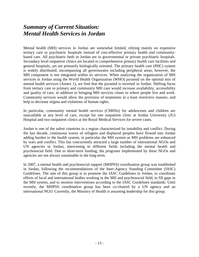# *Summary of Current Situation: Mental Health Services in Jordan*

Mental health (MH) services in Jordan are somewhat limited, relying mainly on expensive tertiary care in psychiatric hospitals instead of cost-effective primary health and communitybased care. All psychiatric beds in Jordan are in governmental or private psychiatric hospitals. Secondary level outpatient clinics are located in comprehensive primary health care facilities and general hospitals, yet are primarily biologically oriented. The primary health care (PHC) system is widely distributed, encompassing all governorates including peripheral areas; however, the MH component is not integrated within its services. When analyzing the organization of MH services in Jordan using the World Health Organization (WHO) pyramid on the optimal mix of mental health services (Annex 1), we find that the pyramid is inverted in Jordan. Shifting focus from tertiary care to primary and community MH care would increase availability, accessibility and quality of care, in addition to bringing MH services closer to where people live and work. Community services would allow the provision of treatments in a least restrictive manner, and help to decrease stigma and violations of human rights.

In particular, community mental health services (CMHSs) for adolescents and children are unavailable at any level of care, except for one outpatient clinic at Jordan University (JU) Hospital and two outpatient clinics at the Royal Medical Services for severe cases.

Jordan is one of the safest countries in a region characterized by instability and conflict. During the last decade, continuous waves of refugees and displaced peoples have flowed into Jordan adding burden to the health system, in particular the MH system as MH problems are enhanced by wars and conflict. This has concurrently attracted a large number of international NGOs and UN agencies to Jordan, intervening in different fields including the mental health and psychosocial field. Due to short-term funding, the programs implemented by these NGOs and agencies are not always sustainable in the long-term.

In 2007, a mental health and psychosocial support (MHPSS) coordination group was established in Jordan, following the recommendations of the Inter-Agency Standing Committee (IASC) Guidelines. The aim of this group is to promote the IASC Guidelines in Jordan, to coordinate efforts of local and international bodies working in the MH and psychosocial field, to fill gaps in the MH system, and to monitor interventions according to the IASC Guidelines standards. Until recently, the MHPSS coordination group has been co-chaired by a UN agency and an international NGO. Currently, the Ministry of Health is assuming leadership for this group.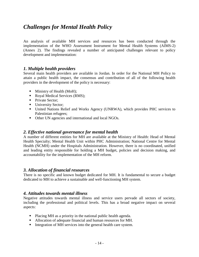# *Challenges for Mental Health Policy*

An analysis of available MH services and resources has been conducted through the implementation of the WHO Assessment Instrument for Mental Health Systems (AIMS-2) (Annex 2). The findings revealed a number of anticipated challenges relevant to policy development and implementation:

### *1. Multiple health providers*

Several main health providers are available in Jordan. In order for the National MH Policy to attain a public health impact, the consensus and contribution of all of the following health providers in the development of the policy is necessary:

- $\blacksquare$  Ministry of Health (MoH);
- Royal Medical Services (RMS);
- Private Sector:
- University Sector;
- United Nations Relief and Works Agency (UNRWA), which provides PHC services to Palestinian refugees;
- Other UN agencies and international and local NGOs.

### *2. Effective national governance for mental health*

A number of different entities for MH are available at the Ministry of Health: Head of Mental Health Specialty; Mental Health Unit within PHC Administration; National Centre for Mental Health (NCMH) under the Hospitals Administration. However, there is no coordinated, unified and leading entity responsible for holding a MH budget, policies and decision making, and accountability for the implementation of the MH reform.

### *3. Allocation of financial resources*

There is no specific and known budget dedicated for MH. It is fundamental to secure a budget dedicated to MH to achieve a sustainable and well-functioning MH system.

### *4. Attitudes towards mental illness*

Negative attitudes towards mental illness and service users pervade all sectors of society, including the professional and political levels. This has a broad negative impact on several aspects:

- Placing MH as a priority in the national public health agenda.
- Allocation of adequate financial and human resources for MH.
- Integration of MH services into the general health care system.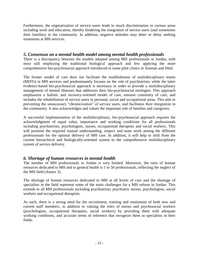Furthermore, the stigmatization of service users leads to much discrimination in various areas including work and education, thereby hindering the integration of service users (and sometimes their families) in the community. In addition, negative attitudes may deter or delay seeking treatments at MH services.

### *5. Consensus on a mental health model among mental health professionals*

There is a discrepancy between the models adopted among MH professionals in Jordan, with most still employing the traditional biological approach and few applying the more comprehensive bio-psychosocial approach introduced in some pilot clinics in Amman and Irbid.

The former model of care does not facilitate the establishment of multidisciplinary teams (MDTs) in MH services and predominantly focuses on the role of psychiatrists; while the latter evidence-based bio-psychosocial approach is necessary in order to provide a multidisciplinary management of mental illnesses that addresses their bio-psychosocial etiologies. This approach emphasizes a holistic and recovery-oriented model of care, ensures continuity of care, and includes the rehabilitation of service users in personal, social and occupational areas. This aids in preventing the unnecessary "chronicization" of service users, and facilitates their integration in the community. It also acknowledges and values the important role of families and caregivers.

A successful implementation of the multidisciplinary, bio-psychosocial approach requires the acknowledgment of equal value, importance and working conditions for all professionals including psychiatrists, psychologists, nurses, occupational therapists and social workers. This will promote the required mutual understanding, respect and team work among the different professionals for the optimal delivery of MH care. In addition, it will help to shift from the current hierarchical and biologically-oriented system to the comprehensive multidisciplinary system of service delivery.

### *6. Shortage of human resources in mental health*

The number of MH professionals in Jordan is very limited. Moreover, the ratio of human resources dedicated to MH and to general health is 1 to 50 professionals, reflecting the neglect of the MH field (Annex 3).

The shortage of human resources dedicated to MH at all levels of care and the shortage of specialists in the field represent some of the main challenges for a MH reform in Jordan. This extends to all MH professionals including psychiatrists, psychiatric nurses, psychologists, social workers and occupational therapists.

As such, there is a strong need for the recruitment, training and retainment of both new and current staff members, in addition to valuing the roles of nurses and psychosocial workers (psychologists, occupational therapists, social workers) by providing them with adequate working conditions, and accurate terms of reference that recognize them as specialists in their fields.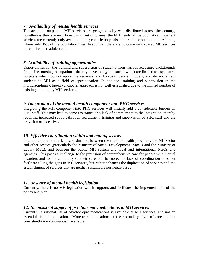### *7. Availability of mental health services*

The available outpatient MH services are geographically well-distributed across the country; nonetheless they are insufficient in quantity to meet the MH needs of the population. Inpatient services are currently only available in psychiatric hospitals and are all concentrated in Amman, where only 36% of the population lives. In addition, there are no community-based MH services for children and adolescents.

### *8. Availability of training opportunities*

Opportunities for the training and supervision of students from various academic backgrounds (medicine, nursing, occupational therapy, psychology and social work) are limited to psychiatric hospitals which do not apply the recovery and bio-psychosocial models, and do not attract students to MH as a field of specialization. In addition, training and supervision in the multidisciplinary, bio-psychosocial approach is not well established due to the limited number of existing community MH services.

### *9. Integration of the mental health component into PHC services*

Integrating the MH component into PHC services will initially add a considerable burden on PHC staff. This may lead to some resistance or a lack of commitment to the integration, thereby requiring increased support through recruitment, training and supervision of PHC staff and the provision of incentives.

### *10. Effective coordination within and among sectors*

In Jordan, there is a lack of coordination between the multiple health providers, the MH sector and other sectors (particularly the Ministry of Social Development- MoSD and the Ministry of Labor- MoL), and between the public MH system and local and international NGOs and agencies. This poses a challenge to the provision of comprehensive care for people with mental disorders and to the continuity of their care. Furthermore, the lack of coordination does not facilitate filling the gaps in MH services, but rather enhances the duplication of services and the establishment of services that are neither sustainable nor needs-based.

### *11. Absence of mental health legislation*

Currently, there is no MH legislation which supports and facilitates the implementation of the policy and plan.

### *12. Inconsistent supply of psychotropic medications at MH services*

Currently, a rational list of psychotropic medications is available at MH services, and not an essential list of medications. Moreover, medications at the secondary level of care are not consistently nor continuously available.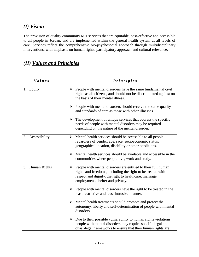# *(I) Vision*

The provision of quality community MH services that are equitable, cost-effective and accessible to all people in Jordan, and are implemented within the general health system at all levels of care. Services reflect the comprehensive bio-psychosocial approach through multidisciplinary interventions, with emphasis on human rights, participatory approach and cultural relevance.

| Values           | <b>Principles</b>                                                                                                                                                                                                                            |
|------------------|----------------------------------------------------------------------------------------------------------------------------------------------------------------------------------------------------------------------------------------------|
| 1. Equity        | $\triangleright$ People with mental disorders have the same fundamental civil<br>rights as all citizens, and should not be discriminated against on<br>the basis of their mental illness.                                                    |
|                  | $\triangleright$ People with mental disorders should receive the same quality<br>and standards of care as those with other illnesses.                                                                                                        |
|                  | $\triangleright$ The development of unique services that address the specific<br>needs of people with mental disorders may be required<br>depending on the nature of the mental disorder.                                                    |
| 2. Accessibility | $\triangleright$ Mental health services should be accessible to all people<br>regardless of gender, age, race, socioeconomic status,<br>geographical location, disability or other conditions.                                               |
|                  | $\triangleright$ Mental health services should be available and accessible in the<br>communities where people live, work and study.                                                                                                          |
| 3. Human Rights  | $\triangleright$ People with mental disorders are entitled to their full human<br>rights and freedoms, including the right to be treated with<br>respect and dignity, the right to healthcare, marriage,<br>employment, shelter and privacy. |
|                  | $\triangleright$ People with mental disorders have the right to be treated in the<br>least restrictive and least intrusive manner.                                                                                                           |
|                  | $\triangleright$ Mental health treatments should promote and protect the<br>autonomy, liberty and self-determination of people with mental<br>disorders.                                                                                     |
|                  | $\triangleright$ Due to their possible vulnerability to human rights violations,<br>people with mental disorders may require specific legal and<br>quasi-legal frameworks to ensure that their human rights are                              |

## *(II) Values and Principles*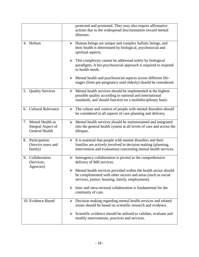|                                                                       | protected and promoted. They may also require affirmative<br>actions due to the widespread discrimination toward mental<br>illnesses.                                                                           |
|-----------------------------------------------------------------------|-----------------------------------------------------------------------------------------------------------------------------------------------------------------------------------------------------------------|
| 4. Holism                                                             | $\triangleright$ Human beings are unique and complex holistic beings, and<br>their health is determined by biological, psychosocial and<br>spiritual aspects.                                                   |
|                                                                       | $\triangleright$ This complexity cannot be addressed solely by biological<br>paradigms. A bio-psychosocial approach is required to respond<br>to health needs.                                                  |
|                                                                       | $\triangleright$ Mental health and psychosocial aspects across different life-<br>stages (from pre-pregnancy until elderly) should be considered.                                                               |
| <b>Quality Services</b><br>5.                                         | Mental health services should be implemented at the highest<br>➤<br>possible quality according to national and international<br>standards, and should function on a multidisciplinary basis.                    |
| 6. Cultural Relevance                                                 | $\triangleright$ The culture and context of people with mental disorders should<br>be considered in all aspects of care planning and delivery.                                                                  |
| Mental Health as<br>7.<br>Integral Aspect of<br><b>General Health</b> | > Mental health services should be mainstreamed and integrated<br>into the general health system at all levels of care and across the<br>lifespan.                                                              |
| 8. Participation<br>(Service users and<br>family)                     | $\triangleright$ It is essential that people with mental disorders and their<br>families are actively involved in decision making (planning,<br>intervention and evaluation) concerning mental health services. |
| Collaboration<br>9.<br>(Services,<br>Agencies)                        | Interagency collaboration is pivotal to the comprehensive<br>➤<br>delivery of MH services.                                                                                                                      |
|                                                                       | $\triangleright$ Mental health services provided within the health sector should<br>be complimented with other sectors and areas (such as social<br>services, justice, housing, family, employment).            |
|                                                                       | Inter and intra-sectoral collaboration is fundamental for the<br>➤<br>continuity of care.                                                                                                                       |
| 10. Evidence-Based                                                    | $\triangleright$ Decision making regarding mental health services and related<br>issues should be based on scientific research and evidence.                                                                    |
|                                                                       | Scientific evidence should be utilized to validate, evaluate and<br>➤<br>modify interventions, practices and services.                                                                                          |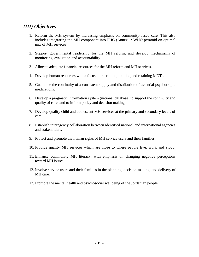### *(III) Objectives*

- 1. Reform the MH system by increasing emphasis on community-based care. This also includes integrating the MH component into PHC (Annex 1: WHO pyramid on optimal mix of MH services).
- 2. Support governmental leadership for the MH reform, and develop mechanisms of monitoring, evaluation and accountability.
- 3. Allocate adequate financial resources for the MH reform and MH services.
- 4. Develop human resources with a focus on recruiting, training and retaining MDTs.
- 5. Guarantee the continuity of a consistent supply and distribution of essential psychotropic medications.
- 6. Develop a pragmatic information system (national database) to support the continuity and quality of care, and to inform policy and decision making.
- 7. Develop quality child and adolescent MH services at the primary and secondary levels of care.
- 8. Establish interagency collaboration between identified national and international agencies and stakeholders.
- 9. Protect and promote the human rights of MH service users and their families.
- 10. Provide quality MH services which are close to where people live, work and study.
- 11. Enhance community MH literacy, with emphasis on changing negative perceptions toward MH issues.
- 12. Involve service users and their families in the planning, decision-making, and delivery of MH care.
- 13. Promote the mental health and psychosocial wellbeing of the Jordanian people.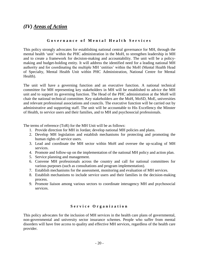## *(IV) Areas of Action*

### Governance of Mental Health Services

This policy strongly advocates for establishing national central governance for MH, through the mental health 'unit' within the PHC administration in the MoH, to strengthen leadership in MH and to create a framework for decision-making and accountability. The unit will be a policymaking and budget-holding entity. It will address the identified need for a leading national MH authority and for coordinating the multiple MH 'entities' within the MoH (Mental Health Head of Specialty, Mental Health Unit within PHC Administration, National Centre for Mental Health).

The unit will have a governing function and an executive function. A national technical committee for MH representing key stakeholders in MH will be established to advice the MH unit and to support its governing function. The Head of the PHC administration at the MoH will chair the national technical committee. Key stakeholders are the MoH, MoSD, MoE, universities and relevant professional associations and councils. The executive function will be carried out by administrative and supporting staff. The unit will be accountable to His Excellency the Minster of Health, to service users and their families, and to MH and psychosocial professionals.

The terms of reference (ToR) for the MH Unit will be as follows:

- 1. Provide direction for MH in Jordan; develop national MH policies and plans.
- 2. Develop MH legislation and establish mechanisms for protecting and promoting the human rights of service users.
- 3. Lead and coordinate the MH sector within MoH and oversee the up-scaling of MH services.
- 4. Promote and follow-up on the implementation of the national MH policy and action plan.
- 5. Service planning and management.
- 6. Convene MH professionals across the country and call for national committees for various purposes (such as consultations and program implementation).
- 7. Establish mechanisms for the assessment, monitoring and evaluation of MH services.
- 8. Establish mechanisms to include service users and their families in the decision-making process.
- 9. Promote liaison among various sectors to coordinate interagency MH and psychosocial services.

### **S e r v i c e O r g a n i z a t i o n**

This policy advocates for the inclusion of MH services in the health care plans of governmental, non-governmental and university sector insurance schemes. People who suffer from mental disorders will have free access to quality and effective MH services, regardless of the health care provider.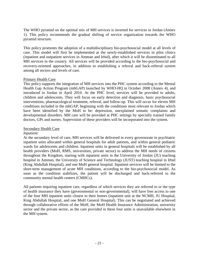The WHO pyramid on the optimal mix of MH services is inverted for services in Jordan (Annex 1). This policy recommends the gradual shifting of service organization towards the WHO pyramid structure.

This policy promotes the adoption of a multidisciplinary bio-psychosocial model at all levels of care. This model will first be implemented at the newly-established services in pilot clinics (inpatient and outpatient services in Amman and Irbid), after which it will be disseminated to all MH services in the country. All services will be provided according to the bio-psychosocial and recovery-oriented approaches, in addition to establishing a referral and back-referral system among all sectors and levels of care.

### Primary Health Care

This policy supports the integration of MH services into the PHC system according to the Mental Health Gap Action Program (mhGAP) launched by WHO-HQ in October 2008 (Annex 4), and introduced in Jordan in April 2010. At the PHC level, services will be provided to adults, children and adolescents. They will focus on early detection and diagnosis, basic psychosocial interventions, pharmacological treatment, referral, and follow-up. This will occur for eleven MH conditions included in the mhGAP, beginning with the conditions most relevant to Jordan which have been identified by the MoH to be: depression, unexplained somatic complaints and developmental disorders. MH care will be provided at PHC settings by specially trained family doctors, GPs and nurses. Supervision of these providers will be incorporated into the system.

### Secondary Health Care

### *Inpatient:*

At the secondary level of care, MH services will be delivered in every governorate in psychiatric inpatient units allocated within general hospitals for adult patients, and within general pediatric wards for adolescents and children. Inpatient units in general hospitals will be established by all health providers (MoH, RMS, universities, private sector) to address the MH needs of citizens throughout the Kingdom, starting with inpatient units in the University of Jordan (JU) teaching hospital in Amman, the University of Science and Technology (JUST) teaching hospital in Irbid (King Abdullah Hospital), and one MoH general hospital. Inpatient services will be limited to the short-term management of acute MH conditions, according to the bio-psychosocial model. As soon as the condition stabilizes, the patient will be discharged and back-referred to the community mental health centers (CMHCs).

All patients requiring inpatient care, regardless of which services they are referred to or the type of health insurance they have (governmental or non-governmental), will have free access to one of the four MH inpatient units closest to their homes (inpatient unit at the NCMH, JU Hospital, King Abdullah Hospital, and one MoH General Hospital). This can be negotiated and achieved through collaborative efforts of the MoH, the MoH Health Insurance Administration, university sector and the private sector, as the care provided in these four units is unavailable elsewhere in the MH system.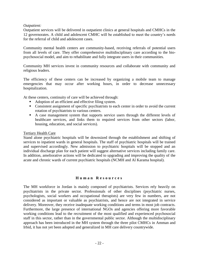### *Outpatient:*

Outpatient services will be delivered in outpatient clinics at general hospitals and CMHCs in the 12 governorates. A child and adolescent CMHC will be established to meet the country's needs for the referral of child and adolescent cases.

Community mental health centers are community-based, receiving referrals of potential users from all levels of care. They offer comprehensive multidisciplinary care according to the biopsychosocial model, and aim to rehabilitate and fully integrate users in their communities.

Community MH services invest in community resources and collaborate with community and religious leaders.

The efficiency of these centers can be increased by organizing a mobile team to manage emergencies that may occur after working hours, in order to decrease unnecessary hospitalization.

At these centers, continuity of care will be achieved through:

- Adoption of an efficient and effective filing system.
- Consistent assignment of specific psychiatrists to each center in order to avoid the current rotation of psychiatrists to various centers.
- A case management system that supports service users through the different levels of healthcare services, and links them to required services from other sectors (labor, housing, education, and social services).

### Tertiary Health Care

Stand alone psychiatric hospitals will be downsized through the establishment and shifting of services to inpatient wards in general hospitals. The staff of psychiatric hospitals will be trained and supervised accordingly. New admission to psychiatric hospitals will be stopped and an individual discharge plan for each patient will suggest alternative services including family care. In addition, ameliorative actions will be dedicated to upgrading and improving the quality of the acute and chronic wards of current psychiatric hospitals (NCMH and Al Karama hospital).

### **H u m a n R e s o u r c e s**

The MH workforce in Jordan is mainly composed of psychiatrists. Services rely heavily on psychiatrists in the private sector. Professionals of other disciplines (psychiatric nurses, psychologists, social workers and occupational therapists) are very few in numbers, are not considered as important or valuable as psychiatrists, and hence are not integrated in service delivery. Moreover, they receive inadequate working conditions and terms in most job contracts. Furthermore, the large presence of international NGOs and agencies offering more favorable working conditions lead to the recruitment of the most qualified and experienced psychosocial staff in this sector, rather than in the governmental public sector. Although the multidisciplinary approach has been introduced in the MH system through the three pilot CMHCs in Amman and Irbid, it has not yet been adopted and generalized in MH care delivery countrywide.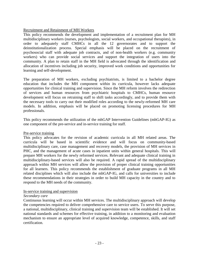### Recruitment and Retainment of MH Workers

This policy recommends the development and implementation of a recruitment plan for MH multidisciplinary workers (nurses, psychologists, social workers, and occupational therapists), in order to adequately staff CMHCs in all the 12 governorates and to support the deinstitutionalization process. Special emphasis will be placed on the recruitment of psychosocial staff with adequate job contracts, and of non-health workers (e.g. community workers) who can provide social services and support the integration of users into the community. A plan to retain staff in the MH field is advocated through the identification and allocation of incentives including job security, improved work conditions and opportunities for learning and self-development.

The preparation of MH workers, excluding psychiatrists, is limited to a bachelor degree education that includes the MH component within its curricula, however lacks adequate opportunities for clinical training and supervision. Since the MH reform involves the redirection of services and human resources from psychiatric hospitals to CMHCs, human resource development will focus on retraining staff to shift tasks accordingly, and to provide them with the necessary tools to carry out their modified roles according to the newly-reformed MH care models. In addition, emphasis will be placed on promoting licensing procedures for MH professionals.

This policy recommends the utilization of the mhGAP Intervention Guidelines (mhGAP-IG) as one component of the pre-service and in-service training for staff.

### Pre-service training

This policy advocates for the revision of academic curricula in all MH related areas. The curricula will be based in scientific evidence and will focus on community-based multidisciplinary care, case management and recovery models, the provision of MH services in PHC, and the management of acute cases in inpatient units within general hospitals. This will prepare MH workers for the newly reformed services. Relevant and adequate clinical training in multidisciplinary-based services will also be required. A rapid spread of the multidisciplinary approach within MH services will allow the provision of proper clinical training opportunities for all learners. This policy recommends the establishment of graduate programs in all MH related disciplines which will also include the mhGAP-IG, and calls for universities to include these recommendations in their strategies in order to build MH capacity in the country and to respond to the MH needs of the community.

### In-service training and supervision

### *Secondary care*

Continuous learning will occur within MH services. The multidisciplinary approach will develop the competencies required to deliver comprehensive care to service users. To serve this purpose, a national, multidisciplinary, clinical training and supervision team will be established. It will set national standards and schemes for effective training, in addition to a monitoring and evaluation mechanism to ensure an appropriate level of acquired knowledge, competence, skills, and staff certification.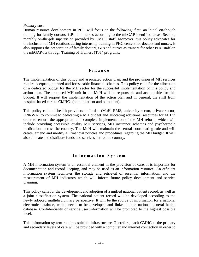#### *Primary care*

Human resource development in PHC will focus on the following: first, an initial on-the-job training for family doctors, GPs, and nurses according to the mhGAP identified areas. Second, monthly on-the-job supervision provided by CMHC staff. Moreover, this policy advocates for the inclusion of MH rotations during internship training in PHC centers for doctors and nurses. It also supports the preparation of family doctors, GPs and nurses as trainers for other PHC staff on the mhGAP-IG through Training of Trainers (ToT) programs.

#### **F i n a n c e**

The implementation of this policy and associated action plan, and the provision of MH services require adequate, planned and foreseeable financial schemes. This policy calls for the allocation of a dedicated budget for the MH sector for the successful implementation of this policy and action plan. The proposed MH unit in the MoH will be responsible and accountable for this budget. It will support the implementation of the action plan and in general, the shift from hospital-based care to CMHCs (both inpatient and outpatient).

This policy calls all health providers in Jordan (MoH, RMS, university sector, private sector, UNRWA) to commit to dedicating a MH budget and allocating additional resources for MH in order to ensure the appropriate and complete implementation of the MH reform, which will include providing accessible quality MH services, MH insurance schemes and psychotropic medications across the country. The MoH will maintain the central coordinating role and will create, amend and modify all financial policies and procedures regarding the MH budget. It will also allocate and distribute funds and services across the country.

### **I n f o r m a t i o n S y s t e m**

A MH information system is an essential element in the provision of care. It is important for documentation and record keeping, and may be used as an information resource. An efficient information system facilitates the storage and retrieval of essential information, and the measurement of MH indicators which will inform future policy development and service planning.

This policy calls for the development and adoption of a unified national patient record, as well as a joint classification system. The national patient record will be developed according to the newly adopted multidisciplinary perspective. It will be the source of information for a national electronic database, which needs to be developed and linked to the national general health database. Confidentiality of service user information will be promoted to the highest possible level.

This information system requires suitable infrastructure. Therefore, each CMHC at the primary and secondary levels of care will be provided with a computer and internet connection in order to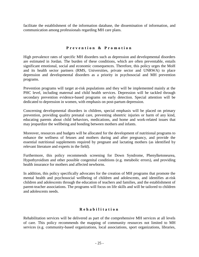facilitate the establishment of the information database, the dissemination of information, and communication among professionals regarding MH care plans.

### **P r e v e n t i o n & P r o m o t i o n**

High prevalence rates of specific MH disorders such as depression and developmental disorders are estimated in Jordan. The burden of these conditions, which are often preventable, entails significant emotional, social and economic consequences. Therefore, this policy urges the MoH and its health sector partners (RMS, Universities, private sector and UNRWA) to place depression and developmental disorders as a priority in psychosocial and MH prevention programs.

Prevention programs will target at-risk populations and they will be implemented mainly at the PHC level, including maternal and child health services. Depression will be tackled through secondary prevention evidence-based programs on early detection. Special attention will be dedicated to depression in women, with emphasis on post-partum depression.

Concerning developmental disorders in children, special emphasis will be placed on primary prevention, providing quality prenatal care, preventing obstetric injuries or harm of any kind, educating parents about child behaviors, medications, and home and work-related issues that may jeopardize the wellbeing and bonding between mothers and infants.

Moreover, resources and budgets will be allocated for the development of nutritional programs to enhance the wellness of fetuses and mothers during and after pregnancy, and provide the essential nutritional supplements required by pregnant and lactating mothers (as identified by relevant literature and experts in the field).

Furthermore, this policy recommends screening for Down Syndrome, Phenylketoneurea, Hypothyroidism and other possible congenital conditions (e.g. metabolic errors), and providing health insurance for mothers and affected newborns.

In addition, this policy specifically advocates for the creation of MH programs that promote the mental health and psychosocial wellbeing of children and adolescents, and identifies at-risk children and adolescents through the education of teachers and families, and the establishment of parent-teacher associations. The programs will focus on life skills and will be tailored to children and adolescents needs.

### **R e h a b i l i t a t i o n**

Rehabilitation services will be delivered as part of the comprehensive MH services at all levels of care. This policy recommends the mapping of community resources not limited to MH services (e.g. community-based organizations, local associations, sport organizations, libraries,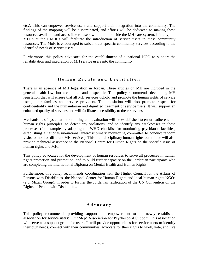etc.). This can empower service users and support their integration into the community. The findings of the mapping will be disseminated, and efforts will be dedicated to making these resources available and accessible to users within and outside the MH care system. Initially, the MDTs at the CMHCs will facilitate the introduction of service users to these community resources. The MoH is encouraged to subcontract specific community services according to the identified needs of service users.

Furthermore, this policy advocates for the establishment of a national NGO to support the rehabilitation and integration of MH service users into the community.

### **H u m a n R i g h t s a n d L e g i s l a t i o n**

There is an absence of MH legislation in Jordan. Three articles on MH are included in the general health law, but are limited and unspecific. This policy recommends developing MH legislation that will ensure that all MH services uphold and promote the human rights of service users, their families and service providers. The legislation will also promote respect for confidentiality and the humanitarian and dignified treatment of service users. It will support an enhanced quality of services and will facilitate accessibility to these services.

Mechanisms of systematic monitoring and evaluation will be established to ensure adherence to human rights principles, to detect any violations, and to identify any weaknesses in these processes (for example by adapting the WHO checklist for monitoring psychiatric facilities; establishing a national/sub-national interdisciplinary monitoring committee to conduct random visits to monitor different MH services). This multidisciplinary human rights committee will also provide technical assistance to the National Centre for Human Rights on the specific issue of human rights and MH.

This policy advocates for the development of human resources to serve all processes in human rights protection and promotion, and to build further capacity on the Jordanian participants who are completing the International Diploma on Mental Health and Human Rights.

Furthermore, this policy recommends coordination with the Higher Council for the Affairs of Persons with Disabilities, the National Center for Human Rights and local human rights NGOs (e.g. Mizan Group), in order to further the Jordanian ratification of the UN Convention on the Rights of People with Disabilities.

### **A d v o c a c y**

This policy recommends providing support and empowerment to the newly established association for service users: 'Our Step' Association for Psychosocial Support. This association will serve as a support group for users. It will provide opportunities for service users to identify their own needs, connect with their communities, advocate for their rights to work, vote, and live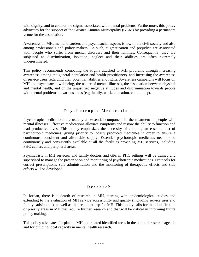with dignity, and to combat the stigma associated with mental problems. Furthermore, this policy advocates for the support of the Greater Amman Municipality (GAM) by providing a permanent venue for the association.

Awareness on MH, mental disorders and psychosocial aspects is low in the civil society and also among professionals and policy makers. As such, stigmatization and prejudice are associated with people who suffer from mental disorders and their families. Consequently, they are subjected to discrimination, isolation, neglect and their abilities are often extremely underestimated.

This policy recommends combating the stigma attached to MH problems through increasing awareness among the general population and health practitioners, and increasing the awareness of service users regarding their potential, abilities and rights. Awareness campaigns will focus on MH and psychosocial wellbeing, the nature of mental illnesses, the association between physical and mental health, and on the unjustified negative attitudes and discrimination towards people with mental problems in various areas (e.g. family, work, education, community).

### **P s y c h o t r o p i c M e d i c a t i o n s**

Psychotropic medications are usually an essential component in the treatment of people with mental illnesses. Effective medications alleviate symptoms and restore the ability to function and lead productive lives. This policy emphasizes the necessity of adopting an essential list of psychotropic medicines, giving priority to locally produced medicines in order to ensure a continuous, consistent and affordable supply. Essential psychotropic medicines need to be continuously and consistently available at all the facilities providing MH services, including PHC centers and peripheral areas.

Psychiatrists in MH services, and family doctors and GPs in PHC settings will be trained and supervised to manage the prescription and monitoring of psychotropic medications. Protocols for correct prescriptions, safe administration and the monitoring of therapeutic effects and side effects will be developed.

### **R e s e a r c h**

In Jordan, there is a dearth of research in MH, starting with epidemiological studies and extending to the evaluation of MH service accessibility and quality (including service user and family satisfaction), as well as the treatment gap for MH. This policy calls for the identification of priority areas in MH that require further research and that will be critical in informing future policy making.

This policy advocates for placing MH and related identified areas in the national research agenda and for building local capacity in mental health research.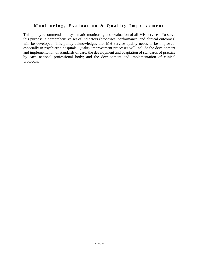### Monitoring, Evaluation & Quality Improvement

This policy recommends the systematic monitoring and evaluation of all MH services. To serve this purpose, a comprehensive set of indicators (processes, performance, and clinical outcomes) will be developed. This policy acknowledges that MH service quality needs to be improved, especially in psychiatric hospitals. Quality improvement processes will include the development and implementation of standards of care; the development and adaptation of standards of practice by each national professional body; and the development and implementation of clinical protocols.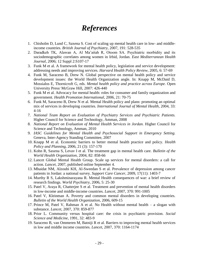# *References*

- 1. Chisholm D, Lund C, Saxena S. Cost of scaling up mental health care in low- and middleincome countries. *British Journal of Psychiatry,* 2007, 191: 528-535
- 2. Daradkeh TK, Alawan A, Al Ma'aitah R, Otoom SA. Psychiatric morbidity and its sociodemographic correlates among women in Irbid, Jordan. *East Mediterranean Health Journal,* 2006; 12 Suppl 2:S107-17
- 3. Funk M et al. A framework for mental health policy, legislation and service development: addressing needs and improving services. *Harvard Health Policy Review,* 2005, 6: 57-69
- 4. Funk M, Saraceno B, Drew N. Global perspective on mental health policy and service development issues: the World Health Organization angle. In: Knapp M, McDaid D, Mossialos E, Thornicroft G, eds. *Mental health policy and practice across Europe.* Open University Press/ McGraw Hill, 2007: 426-440
- 5. Funk M et al. Advocacy for mental health: roles for consumer and family organization and government. *Health Promotion International,* 2006, 21: 70-75
- 6. Funk M, Saraceno B, Drew N et al. Mental Health policy and plans: promoting an optimal mix of services in developing countries. *International Journal of Mental Health,* 2004, 33: 4-16
- 7. *National Team Report on Evaluation of Psychiatry Services and Psychiatric Patients.*  Higher Council for Science and Technology, Amman, 2008
- 8. *National Report on Evaluation of Mental Health Services in Jordan.* Higher Council for Science and Technology, Amman, 2010
- 9. *IASC Guidelines for Mental Health and Psychosocial Support in Emergency Setting.*  Geneva, Inter-Agency Standing Committee, 2007
- 10. Knapp M et al. Economic barriers to better mental health practice and policy. *Health Policy and Planning,* 2006, 21 (3): 157-170
- 11. Kohn R, Saxena S, Levav I et al. The treatment gap in mental health care. *Bulletin of the World Health Organization,* 2004, 82: 858-66
- 12. Lancet Global Mental Health Group. Scale up services for mental disorders: a call for action. *Lancet,* 2007, published online September 4.
- 13. Mhaidat NM, Alzoubi KH, Al-Sweedan S et al. Prevalence of depression among cancer patients in Jordan: a national survey. *Support Care Cancer,* 2009, 17(11): 1403-7
- 14. Murthy R S, Lakshminarayana R. Mental Health consequences of war: a brief review of research findings. *World Psychiatry,* 2006, 5: 25-30
- 15. Patel V, Araya R, Chatterjee S et al. Treatment and prevention of mental health disorders in low-income and middle-income countries. *Lancet,* 2007, 370: 991-1005
- 16. Patel V, Kleinman A. Poverty and common mental disorders in developing countries. *Bulletin of the World Health Organization,* 2006, 609-15
- 17. Prince M, Patel V, Rahman A et al. No Health without mental health a slogan with substance. *Lancet,* 2007, 370: 859-877
- 18. Prior L. Community versus hospital care: the crisis in psychiatric provision. *Social Science and Medicine*, 1991, 32: 483-9
- 19. Saraceno B, van Ommeren M, Batniji R et al. Barriers to improving mental health services in low and middle income countries. *Lancet,* 2007, 370: 1164-1174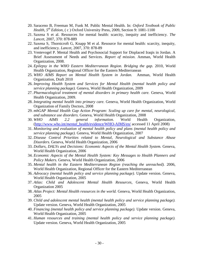- 20. Saraceno B, Freeman M, Funk M. Public Mental Health. In: *Oxford Textbook of Public Health, 5th Edition,* ( c ) Oxford University Press, 2009, Section 9: 1081-1100
- 21. Saxena S et al. Resources for mental health: scarcity, inequity and inefficiency. *The Lancet,* 2007, 370: 878-889
- 22. Saxena S, Thornicroft G, Knapp M et al. Resource for mental health: scarcity, inequity, and inefficiency. *Lancet,* 2007, 370: 878-89
- 23. Ventevogel P. Mental Health and Psychosocial Support for Displaced Iraqis in Jordan. A Brief Assessment of Needs and Services. *Report of mission.* Amman, World Health Organization, 2008.
- 24. *Epilepsy in the WHO Eastern Mediterranean Region. Bridging the gap.* 2010, World Health Organization, Regional Officer for the Eastern Mediterranean
- 25. *WHO AIMS Report on Mental Health System in Jordan.* Amman, World Health Organization, Draft 2010
- 26. *Improving Health System and Services for Mental Health (mental health policy and service planning package).* Geneva, World Health Organization, 2009
- 27. *Pharmacological treatment of mental disorders in primary health care.* Geneva, World Health Organization, 2009.
- 28. *Integrating mental health into primary care.* Geneva, World Health Organization, World Organization of Family Doctors, 2008
- 29. *mhGAP Mental Health Gap Action Program: Scaling up care for mental, neurological, and substance use disorders.* Geneva, World Health Organization, 2008
- 30. *WHO AIMS 2.2 general information.* World Health Organization, (http://www.who.int/*mental*[\\_health/evidence/WHO-AIMS/en/](http://www.who.int/mental_health/evidence/WHO-AIMS/en/) accessed 11 April 2008)
- 31. *Monitoring and evaluation of mental health policy and plans (mental health policy and service planning package).* Geneva, World Health Organization, 2007
- 32. *Disease Control Priorities related to Mental, Neurological and Substance Abuse Disorders.* Geneva, World Health Organization, 2006
- 33. *Dollars, DALYs and Decisions: Economic Aspects of the Mental Health System.* Geneva, World Health Organization, 2006
- 34. *Economic Aspects of the Mental Health System: Key Messages to Health Planners and Policy Makers.* Geneva, World Health Organization, 2006
- 35. *Mental health in the Eastern Mediterranean Region (reaching the unreached).* 2006, World Health Organization, Regional Officer for the Eastern Mediterranean
- 36. *Advocacy (mental health policy and service planning package).* Update version. Geneva, World Health Organization, 2005
- 37. *Atlas: Child and Adolescent Mental Health Resources,* Geneva, World Health Organization 2005
- 38. *Atlas Project: Mental Health resources in the world.* Geneva, World Health Organization, 2005
- 39. *Child and adolescent mental health (mental health policy and service planning package).*  Update version. Geneva, World Health Organization, 2005
- 40. *Financing (mental health policy and service planning package).* Update version. Geneva, World Health Organization, 2005
- 41. *Human resources and training (mental health policy and service planning package).*  Update version. Geneva, World Health Organization, 2005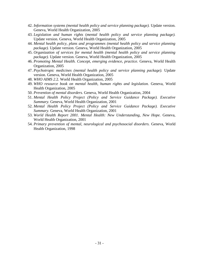- 42. *Information systems (mental health policy and service planning package).* Update version. Geneva, World Health Organization, 2005
- 43. *Legislation and human rights* (*mental health policy and service planning package).*  Update version. Geneva, World Health Organization, 2005
- 44. *Mental health policy, plans and programmes (mental health policy and service planning package).* Update version. Geneva, World Health Organization, 2005
- 45. *Organization of services for mental health (mental health policy and service planning package).* Update version. Geneva, World Health Organization, 2005
- 46. *Promoting Mental Health. Concept, emerging evidence, practice.* Geneva, World Health Organization, 2005
- 47. *Psychotropic medicines (mental health policy and service planning package).* Update version. Geneva, World Health Organization, 2005
- 48. *WHO AIMS 2.*2. World Health Organization, 2005
- 49. *WHO resource book on mental health, human rights and legislation.* Geneva, World Health Organization, 2005
- 50. *Prevention of mental disorders.* Geneva, World Health Organization, 2004
- 51. *Mental Health Policy Project (Policy and Service Guidance Package). Executive Summary.* Geneva, World Health Organization, 2001
- 52. *Mental Health Policy Project (Policy and Service Guidance Package). Executive Summary.* Geneva, World Health Organization, 2001
- 53. *World Health Report 2001. Mental Health: New Understanding, New Hope.* Geneva, World Health Organization, 2001
- 54. *Primary prevention of mental, neurological and psychosocial disorders.* Geneva, World Health Organization, 1998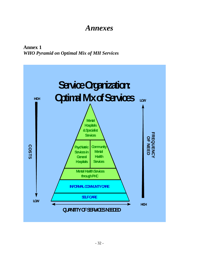# *Annexes*

**Annex 1** *WHO Pyramid on Optimal Mix of MH Services*

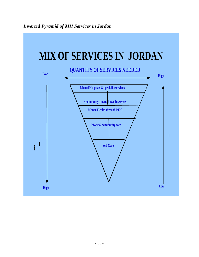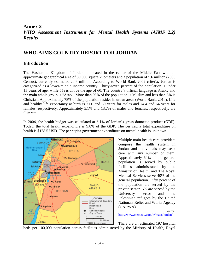### **Annex 2** *WHO Assessment Instrument for Mental Health Systems (AIMS 2.2) Results*

### **WHO-AIMS COUNTRY REPORT FOR JORDAN**

### **Introduction**

The Hashemite Kingdom of Jordan is located in the center of the Middle East with an approximate geographical area of 89,000 square kilometers and a population of 5.6 million (2006 Census), currently estimated at 6 million. According to World Bank 2009 criteria, Jordan is categorized as a lower-middle income country. Thirty-seven percent of the population is under 15 years of age, while 5% is above the age of 60. The country's official language is Arabic and the main ethnic group is "Arab". More than 95% of the population is Muslim and less than 5% is Christian. Approximately 78% of the population resides in urban areas (World Bank, 2010). Life and healthy life expectancy at birth is 71.6 and 60 years for males and 74.4 and 64 years for females, respectively. Approximately 5.1% and 13.7% of males and females, respectively, are illiterate.

In 2006, the health budget was calculated at 6.1% of Jordan's gross domestic product (GDP). Today, the total health expenditure is 9.8% of the GDP. The per capita total expenditure on health is \$178.5 USD. The per capita government expenditure on mental health is unknown.



Multiple main health care providers compose the health system in Jordan and individuals may seek care with any number of them. Approximately 60% of the general population is served by public facilities administrated by the Ministry of Health, and The Royal Medical Services serve 40% of the general population. Fifty percent of the population are served by the private sector, 5% are served by the University sector and the Palestinian refugees by the United Nationals Relief and Works Agency (UNRWA).

Source: <http://www.memnav.com/w/maps/jordan/>

There are an estimated 197 hospital beds per 100,000 population across facilities administered by the Ministry of Health, Royal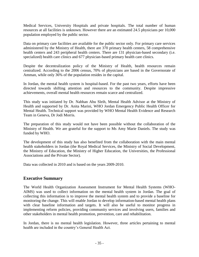Medical Services, University Hospitals and private hospitals. The total number of human resources at all facilities is unknown. However there are an estimated 24.5 physicians per 10,000 population employed by the public sector.

Data on primary care facilities are available for the public sector only. For primary care services administered by the Ministry of Health, there are 370 primary health centers, 58 comprehensive health centers and 243 peripheral health centers. There are 131 physician-based secondary (i.e. specialized) health care clinics and 677 physician-based primary health care clinics.

Despite the decentralization policy of the Ministry of Health, health resources remain centralized. According to the 2006 census, 70% of physicians are based in the Governorate of Amman, while only 36% of the population resides in the capital.

In Jordan, the mental health system is hospital-based. For the past two years, efforts have been directed towards shifting attention and resources to the community. Despite impressive achievements, overall mental health resources remain scarce and centralized.

This study was initiated by Dr. Nabhan Abu Sleih, Mental Health Advisor at the Ministry of Health and supported by Dr. Anita Marini, WHO Jordan Emergency Public Health Officer for Mental Health. Technical support was provided by WHO Mental Health Evidence and Research Team in Geneva, Dr Jodi Morris.

The preparation of this study would not have been possible without the collaboration of the Ministry of Health. We are grateful for the support to Ms Amy Marie Daniels. The study was funded by WHO.

The development of this study has also benefited from the collaboration with the main mental health stakeholders in Jordan (the Royal Medical Services, the Ministry of Social Development, the Ministry of Education, the Ministry of Higher Education, the Universities, the Professional Associations and the Private Sector).

Data was collected in 2010 and is based on the years 2009-2010.

### **Executive Summary**

The World Health Organization Assessment Instrument for Mental Health Systems (WHO-AIMS) was used to collect information on the mental health system in Jordan. The goal of collecting this information is to improve the mental health system and to provide a baseline for monitoring the change. This will enable Jordan to develop information-based mental health plans with clear baseline information and targets. It will also be useful to monitor progress in implementing reform policies, providing community services and involving users, families and other stakeholders in mental health promotion, prevention, care and rehabilitation.

In Jordan, there is no mental health legislation. However, three articles pertaining to mental health are included in the country's General Health Act.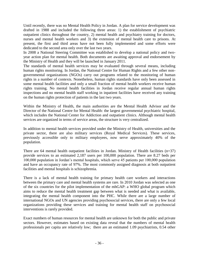Until recently, there was no Mental Health Policy in Jordan. A plan for service development was drafted in 1988 and included the following three areas: 1) the establishment of psychiatric outpatient clinics throughout the country, 2) mental health and psychiatry training for doctors, nurses and mental health workers and 3) the extension of mental health care to prisons. At present, the first and third areas have not been fully implemented and some efforts were dedicated to the second area only over the last two years.

In 2008 a National Steering Committee was established to develop a national policy and twoyear action plan for mental health. Both documents are awaiting approval and endorsement by the Ministry of Health and they will be launched in January 2011.

The standards of mental health services may be evaluated through several means, including human rights monitoring. In Jordan, the National Centre for Human Rights and a few other nongovernmental organizations (NGOs) carry out programs related to the monitoring of human rights in a number of contexts. Nonetheless, human rights standards have only been assessed in some mental health facilities and only a small fraction of mental health workers receive human rights training. No mental health facilities in Jordan receive regular annual human rights inspections and no mental health staff working in inpatient facilities have received any training on the human rights protection of patients in the last two years.

Within the Ministry of Health, the main authorities are the Mental Health Advisor and the Director of the National Centre for Mental Health: the largest governmental psychiatric hospital, which includes the National Center for Addiction and outpatient clinics. Although mental health services are organized in terms of service areas, the structure is very centralized.

In addition to mental health services provided under the Ministry of Health, universities and the private sector, there are also military services (Royal Medical Services). These services, previously accessible only to military employees, now serve approximately 40% of the population.

There are 64 mental health outpatient facilities in Jordan. Ministry of Health facilities  $(n=37)$ provide services to an estimated 2,187 users per 100,000 population. There are 8.27 beds per 100,000 population in Jordan's mental hospitals, which serve 45 patients per 100,000 population and have an occupancy rate of 97%. The most commonly assigned diagnosis at both outpatient facilities and mental hospitals is schizophrenia.

There is a lack of mental health training for primary health care workers and interactions between the primary care and mental health systems are rare. In 2010 Jordan was selected as one of the six countries for the pilot implementation of the mhGAP: a WHO global program which aims to reduce the mental health treatment gap between what is needed and what is available, integrating the mental health component into the PHC. While there are a large number of international NGOs and UN agencies providing psychosocial services, there are only a few local organizations providing these services and training for mental health staff on psychosocial interventions is rarely provided.

Exact numbers of human resources for mental health are unknown for both the public and private sectors. However, estimates based on existing data reveal that the numbers of mental health professionals per capita are relatively low; there are an estimated 1.09 psychiatrists, 0.54 other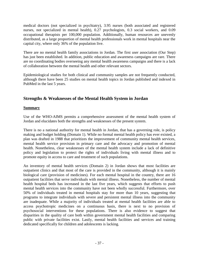medical doctors (not specialized in psychiatry), 3.95 nurses (both associated and registered nurses, not specialized in mental health), 0.27 psychologists, 0.3 social workers, and 0.09 occupational therapists per 100,000 population. Additionally, human resources are unevenly distributed, as a large proportion of mental health professionals work in mental hospitals near the capital city, where only 36% of the population live.

There are no mental health family associations in Jordan. The first user association (Our Step) has just been established. In addition, public education and awareness campaigns are rare. There are no coordinating bodies overseeing any mental health awareness campaigns and there is a lack of collaboration between the mental health and other relevant sectors.

Epidemiological studies for both clinical and community samples are not frequently conducted, although there have been 25 studies on mental health topics in Jordan published and indexed in PubMed in the last 5 years.

### **Strengths & Weaknesses of the Mental Health System in Jordan**

### **Summary**

Use of the WHO-AIMS permits a comprehensive assessment of the mental health system of Jordan and elucidates both the strengths and weaknesses of the present system.

There is no a national authority for mental health in Jordan, that has a governing role, is policy making and budget holding (Domain 1). While no formal mental health policy has ever existed, a plan was drafted in 1988 that prioritizes the improvement of community mental health services, mental health service provision in primary care and the advocacy and promotion of mental health. Nonetheless, clear weaknesses of the mental health system include a lack of definitive policy and legislation to protect the rights of individuals living with mental illness and to promote equity in access to care and treatment of such populations.

An inventory of mental health services (Domain 2) in Jordan shows that most facilities are outpatient clinics and that most of the care is provided in the community, although it is mainly biological care (provision of medicines). For each mental hospital in the country, there are 16 outpatient facilities that serve individuals with mental illness. Nonetheless, the number of mental health hospital beds has increased in the last five years, which suggests that efforts to push mental health services into the community have not been wholly successful. Furthermore, over 50% of individuals treated in mental hospitals stay for more than 10 years, suggesting that programs to integrate individuals with severe and persistent mental illness into the community are inadequate. While a majority of individuals treated at mental health facilities are able to access psychotropic medicines on a continuous basis, there is next to no provision of psychosocial interventions for these populations. There is also evidence to suggest that disparities in the quality of care both within government mental health facilities and comparing public with private facilities exist. Lastly, mental health facilities and services and training dedicated specifically for children and adolescents is lacking.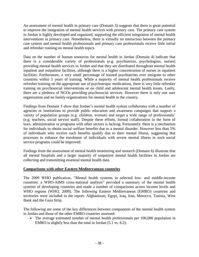An assessment of mental health in primary care (Domain 3) suggests that there is great potential to improve the integration of mental health services with primary care. The primary care system in Jordan is highly developed and organized, supporting the efficient integration of mental health interventions in primary care. Nonetheless, there is virtually no interaction between the primary care system and mental health professionals and primary care professionals receive little initial and refresher training on mental health topics.

Data on the number of human resources for mental health in Jordan (Domain 4) indicate that there is a considerable variety of professionals (e.g. psychiatrists, psychologists, nurses) providing mental health services in Jordan and that they are distributed throughout mental health inpatient and outpatient facilities, although there is a higher concentration of nurses in inpatient facilities. Furthermore, a very small percentage of trained psychiatrists ever emigrate to other countries within 5 years of training. While a majority of mental health professionals receive refresher training on the appropriate use of psychotropic medications, there is very little refresher training on psychosocial interventions or on child and adolescent mental health issues. Lastly, there are a plethora of NGOs providing psychosocial services. However there is only one user organization and no family organizations for mental health in the country.

Findings from Domain 5 show that Jordan's mental health system collaborates with a number of agencies or institutions to provide public education and awareness campaigns that support a variety of population groups (e.g. children, women) and target a wide range of professionals' (e.g. teachers, social service staff). Despite these efforts, formal collaboration in the form of laws, administration or programs with other sectors is lacking. Fortunately, there is a mechanism for individuals to obtain social welfare benefits due to a mental disorder. However less than 5% of individuals who receive such benefits qualify due to their mental illness, suggesting that processes to enhance the enrolment of individuals with severe mental illness in such social service programs could be improved.

Findings from the assessment of mental health monitoring and research (Domain 6) illustrate that all mental hospitals and a larger majority of outpatient mental health facilities in Jordan are collecting and transmitting essential mental health data.

### **Comparisons with other Eastern Mediterranean countries**

The 2009 WHO publication, "Mental health systems in selected low- and middle-income countries: a WHO-AIMS cross-national analysis" provided a summary of the mental health systems of developing countries and made a number of comparisons across income levels and WHO regions (WHO, 2009). The following Eastern Mediterranean (EMRO) countries and territories were included in the report: Afghanistan, Egypt, Iraq, Iran, Morocco, Tunisia, West Bank and the Gaza Strip.

The following are some of the key differences between components of the mental health system in Jordan and those of the other EMRO countries assessed:

 $\triangleright$  The average estimated number of mental health professionals per 100,000 population in EMRO is slightly less than the total in Jordan (5.1 vs. 6.2).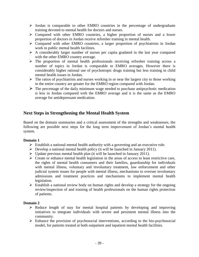- $\triangleright$  Jordan is comparable to other EMRO countries in the percentage of undergraduate training devoted to mental health for doctors and nurses.
- Compared with other EMRO countries, a higher proportion of nurses and a lower proportion of doctors in Jordan receive refresher training in mental health.
- Compared with other EMRO countries, a larger proportion of psychiatrists in Jordan work in public mental health facilities.
- $\triangleright$  A considerably larger number of nurses per capita gradated in the last year compared with the other EMRO country average.
- $\triangleright$  The proportion of mental health professionals receiving refresher training across a number of topics in Jordan is comparable to EMRO averages. However there is considerably higher rational use of psychotropic drugs training but less training in child mental health issues in Jordan.
- The ratios of psychiatrists and nurses working in or near the largest city to those working in the entire country are greater for the EMRO region compared with Jordan.
- $\triangleright$  The percentage of the daily minimum wage needed to purchase antipsychotic medication is less in Jordan compared with the EMRO average and it is the same as the EMRO average for antidepressant medication.

### **Next Steps in Strengthening the Mental Health System**

Based on the domain summaries and a critical assessment of the strengths and weaknesses, the following are possible next steps for the long term improvement of Jordan's mental health system.

### **Domain 1**

- $\triangleright$  Establish a national mental health authority with a governing and an executive role.
- $\triangleright$  Develop a national mental health policy (it will be launched in January 2011).
- $\triangleright$  Update previous mental health plan (it will be launched in January 2011).
- $\triangleright$  Create or enhance mental health legislation in the areas of access to least restrictive care, the rights of mental health consumers and their families, guardianship for individuals with mental illness, voluntary and involuntary treatment, law enforcement and other judicial system issues for people with mental illness, mechanisms to oversee involuntary admissions and treatment practices and mechanisms to implement mental health legislation.
- $\triangleright$  Establish a national review body on human rights and develop a strategy for the ongoing review/inspection of and training of health professionals on the human rights protection of patients.

### **Domain 2**

- $\triangleright$  Reduce length of stay for mental hospital patients by developing and improving initiatives to integrate individuals with severe and persistent mental illness into the community.
- $\triangleright$  Enhance the provision of psychosocial interventions, according to the bio-psychosocial model, for patients treated at both outpatient and inpatient mental health facilities.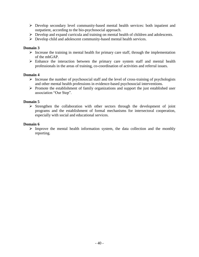- Develop secondary level community-based mental health services: both inpatient and outpatient, according to the bio-psychosocial approach.
- Develop and expand curricula and training on mental health of children and adolescents.
- Develop child and adolescent community-based mental health services.

### **Domain 3**

- $\triangleright$  Increase the training in mental health for primary care staff, through the implementation of the mhGAP.
- $\triangleright$  Enhance the interaction between the primary care system staff and mental health professionals in the areas of training, co-coordination of activities and referral issues.

### **Domain 4**

- $\triangleright$  Increase the number of psychosocial staff and the level of cross-training of psychologists and other mental health professions in evidence-based psychosocial interventions.
- $\triangleright$  Promote the establishment of family organizations and support the just established user association "Our Step".

### **Domain 5**

 $\triangleright$  Strengthen the collaboration with other sectors through the development of joint programs and the establishment of formal mechanisms for intersectoral cooperation, especially with social and educational services.

### **Domain 6**

 $\triangleright$  Improve the mental health information system, the data collection and the monthly reporting.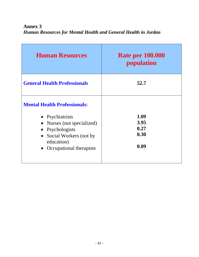**Annex 3** *Human Resources for Mental Health and General Health in Jordan*

| <b>Human Resources</b>                                                                                                                                                         | <b>Rate per 100.000</b><br>population |
|--------------------------------------------------------------------------------------------------------------------------------------------------------------------------------|---------------------------------------|
| <b>General Health Professionals</b>                                                                                                                                            | 52.7                                  |
| <b>Mental Health Professionals:</b><br>• Psychiatrists<br>• Nurses (not specialized)<br>• Psychologists<br>• Social Workers (not by<br>education)<br>• Occupational therapists | 1.09<br>3.95<br>0.27<br>0.30<br>0.09  |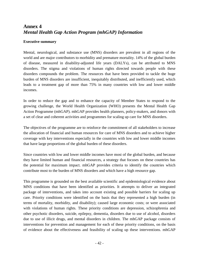### **Annex 4** *Mental Health Gap Action Program (mhGAP) Information*

### **Executive summary**

Mental, neurological, and substance use (MNS) disorders are prevalent in all regions of the world and are major contributors to morbidity and premature mortality. 14% of the global burden of disease, measured in disability-adjusted life years (DALYs), can be attributed to MNS disorders. The stigma and violations of human rights directed towards people with these disorders compounds the problem. The resources that have been provided to tackle the huge burden of MNS disorders are insufficient, inequitably distributed, and inefficiently used, which leads to a treatment gap of more than 75% in many countries with low and lower middle incomes.

In order to reduce the gap and to enhance the capacity of Member States to respond to the growing challenge, the World Health Organization (WHO) presents the Mental Health Gap Action Programme (mhGAP). mhGAP provides health planners, policy-makers, and donors with a set of clear and coherent activities and programmes for scaling up care for MNS disorders.

The objectives of the programme are to reinforce the commitment of all stakeholders to increase the allocation of financial and human resources for care of MNS disorders and to achieve higher coverage with key interventions especially in the countries with low and lower middle incomes that have large proportions of the global burden of these disorders.

Since countries with low and lower middle incomes have most of the global burden, and because they have limited human and financial resources, a strategy that focuses on these countries has the potential for maximum impact. mhGAP provides criteria to identify the countries which contribute most to the burden of MNS disorders and which have a high resource gap.

This programme is grounded on the best available scientific and epidemiological evidence about MNS conditions that have been identified as priorities. It attempts to deliver an integrated package of interventions, and takes into account existing and possible barriers for scaling up care. Priority conditions were identified on the basis that they represented a high burden (in terms of mortality, morbidity, and disability); caused large economic costs; or were associated with violations of human rights. These priority conditions are depression, schizophrenia and other psychotic disorders, suicide, epilepsy, dementia, disorders due to use of alcohol, disorders due to use of illicit drugs, and mental disorders in children. The mhGAP package consists of interventions for prevention and management for each of these priority conditions, on the basis of evidence about the effectiveness and feasibility of scaling up these interventions. mhGAP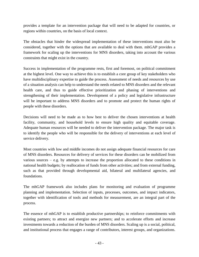provides a template for an intervention package that will need to be adapted for countries, or regions within countries, on the basis of local context.

The obstacles that hinder the widespread implementation of these interventions must also be considered, together with the options that are available to deal with them. mhGAP provides a framework for scaling up the interventions for MNS disorders, taking into account the various constraints that might exist in the country.

Success in implementation of the programme rests, first and foremost, on political commitment at the highest level. One way to achieve this is to establish a core group of key stakeholders who have multidisciplinary expertise to guide the process. Assessment of needs and resources by use of a situation analysis can help to understand the needs related to MNS disorders and the relevant health care, and thus to guide effective prioritization and phasing of interventions and strengthening of their implementation. Development of a policy and legislative infrastructure will be important to address MNS disorders and to promote and protect the human rights of people with these disorders.

Decisions will need to be made as to how best to deliver the chosen interventions at health facility, community, and household levels to ensure high quality and equitable coverage. Adequate human resources will be needed to deliver the intervention package. The major task is to identify the people who will be responsible for the delivery of interventions at each level of service delivery.

Most countries with low and middle incomes do not assign adequate financial resources for care of MNS disorders. Resources for delivery of services for these disorders can be mobilized from various sources – e.g. by attempts to increase the proportion allocated to these conditions in national health budgets; by reallocation of funds from other activities; and from external funding, such as that provided through developmental aid, bilateral and multilateral agencies, and foundations.

The mhGAP framework also includes plans for monitoring and evaluation of programme planning and implementation. Selection of inputs, processes, outcomes, and impact indicators, together with identification of tools and methods for measurement, are an integral part of the process.

The essence of mhGAP is to establish productive partnerships; to reinforce commitments with existing partners; to attract and energize new partners; and to accelerate efforts and increase investments towards a reduction of the burden of MNS disorders. Scaling up is a social, political, and institutional process that engages a range of contributors, interest groups, and organizations.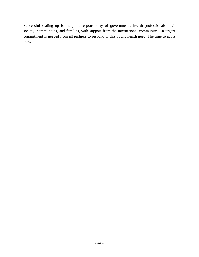Successful scaling up is the joint responsibility of governments, health professionals, civil society, communities, and families, with support from the international community. An urgent commitment is needed from all partners to respond to this public health need. The time to act is now.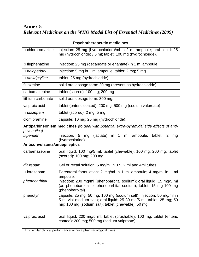# **Annex 5** *Relevant Medicines on the WHO Model List of Essential Medicines (2009)*

| <b>Psychotherapeutic medicines</b>                                                                             |                                                                                                                                                                                                      |
|----------------------------------------------------------------------------------------------------------------|------------------------------------------------------------------------------------------------------------------------------------------------------------------------------------------------------|
| n chlorpromazine                                                                                               | injection: 25 mg (hydrochloride)/ml in 2 ml ampoule; oral liquid: 25<br>mg (hydrochloride) / 5 ml; tablet: 100 mg (hydrochloride).                                                                   |
| □ fluphenazine                                                                                                 | injection: 25 mg (decanoate or enantate) in 1 ml ampoule.                                                                                                                                            |
| □ haloperidol                                                                                                  | injection: 5 mg in 1 ml ampoule; tablet: 2 mg; 5 mg                                                                                                                                                  |
| $\Box$ amitriptyline                                                                                           | tablet: 25 mg (hydrochloride).                                                                                                                                                                       |
| fluoxetine                                                                                                     | solid oral dosage form: 20 mg (present as hydrochloride).                                                                                                                                            |
| carbamazepine                                                                                                  | tablet (scored): 100 mg; 200 mg                                                                                                                                                                      |
| lithium carbonate                                                                                              | solid oral dosage form: 300 mg.                                                                                                                                                                      |
| valproic acid                                                                                                  | tablet (enteric coated): 200 mg; 500 mg (sodium valproate)                                                                                                                                           |
| $\Box$ diazepam                                                                                                | tablet (scored): 2 mg; 5 mg                                                                                                                                                                          |
| clomipramine                                                                                                   | capsule: 10 mg; 25 mg (hydrochloride).                                                                                                                                                               |
| Antiparkinsonism medicines (to deal with potential extra-pyramidal side effects of anti-<br><i>psychotics)</i> |                                                                                                                                                                                                      |
| biperiden                                                                                                      | injection:<br>in 1 ml<br>5 <sup>5</sup><br>(lactate)<br>mg<br>ampoule;<br>tablet:<br>2<br>mg<br>(hydrochloride).                                                                                     |
| Anticonvulsants/antiepileptics                                                                                 |                                                                                                                                                                                                      |
| carbamazepine                                                                                                  | oral liquid: 100 mg/5 ml; tablet (chewable): 100 mg; 200 mg; tablet<br>(scored): 100 mg; 200 mg.                                                                                                     |
| diazepam                                                                                                       | Gel or rectal solution: 5 mg/ml in 0.5, 2 ml and 4ml tubes                                                                                                                                           |
| $\Box$ lorazepam                                                                                               | Parenteral formulation: 2 mg/ml in 1 ml ampoule; 4 mg/ml in 1 ml<br>ampoule.                                                                                                                         |
| phenobarbital                                                                                                  | injection: 200 mg/ml (phenobarbital sodium); oral liquid: 15 mg/5 ml<br>(as phenobarbital or phenobarbital sodium); tablet: 15 mg-100 mg<br>(phenobarbital).                                         |
| phenotyn                                                                                                       | capsule: 25 mg; 50 mg; 100 mg (sodium salt); injection: 50 mg/ml in<br>5 ml vial (sodium salt); oral liquid: 25-30 mg/5 ml; tablet: 25 mg; 50<br>mg; 100 mg (sodium salt); tablet (chewable): 50 mg. |
| valproic acid                                                                                                  | oral liquid: 200 mg/5 ml; tablet (crushable): 100 mg; tablet (enteric<br>coated): 200 mg; 500 mg (sodium valproate).                                                                                 |

 $\Box$  = similar clinical performance within a pharmacological class.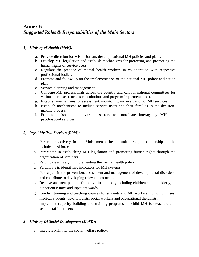## **Annex 6** *Suggested Roles & Responsibilities of the Main Sectors*

### *1) Ministry of Health (MoH):*

- a. Provide direction for MH in Jordan; develop national MH policies and plans.
- b. Develop MH legislation and establish mechanisms for protecting and promoting the human rights of service users.
- c. Regulate the practice of mental health workers in collaboration with respective professional bodies.
- d. Promote and follow-up on the implementation of the national MH policy and action plan.
- e. Service planning and management.
- f. Convene MH professionals across the country and call for national committees for various purposes (such as consultations and program implementation).
- g. Establish mechanisms for assessment, monitoring and evaluation of MH services.
- h. Establish mechanisms to include service users and their families in the decisionmaking process.
- i. Promote liaison among various sectors to coordinate interagency MH and psychosocial services.

### *2) Royal Medical Services (RMS):*

- a. Participate actively in the MoH mental health unit through membership in the technical taskforce.
- b. Participate in establishing MH legislation and promoting human rights through the organization of seminars.
- c. Participate actively in implementing the mental health policy.
- d. Participate in identifying indicators for MH systems.
- e. Participate in the prevention, assessment and management of developmental disorders, and contribute to developing relevant protocols.
- f. Receive and treat patients from civil institutions, including children and the elderly, in outpatient clinics and inpatient wards.
- g. Conduct training and teaching courses for students and MH workers including nurses, medical students, psychologists, social workers and occupational therapists.
- h. Implement capacity building and training programs on child MH for teachers and school staff members.

### *3) Ministry Of Social Development (MoSD):*

a. Integrate MH into the social welfare policy.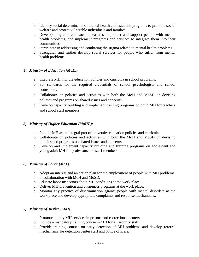- b. Identify social determinants of mental health and establish programs to promote social welfare and protect vulnerable individuals and families.
- c. Develop programs and social measures to protect and support people with mental health problems, and implement programs and services to integrate them into their communities.
- d. Participate in addressing and combating the stigma related to mental health problems.
- e. Strengthen and further develop social services for people who suffer from mental health problems.

### *4) Ministry of Education (MoE):*

- a. Integrate MH into the education policies and curricula in school programs.
- b. Set standards for the required credentials of school psychologists and school counselors.
- c. Collaborate on policies and activities with both the MoH and MoSD on devising policies and programs on shared issues and concerns.
- d. Develop capacity building and implement training programs on child MH for teachers and school staff members.

### *5) Ministry of Higher Education (MoHE):*

- a. Include MH as an integral part of university education policies and curricula.
- b. Collaborate on policies and activities with both the MoH and MoSD on devising policies and programs on shared issues and concerns.
- c. Develop and implement capacity building and training programs on adolescent and young adult MH for professors and staff members.

### *6) Ministry of Labor (MoL):*

- a. Adopt an interest and an action plan for the employment of people with MH problems, in collaboration with MoH and MoSD.
- b. Educate labor inspectors about MH conditions at the work place.
- c. Deliver MH prevention and awareness programs at the work place.
- d. Monitor any practice of discrimination against people with mental disorders at the work place and develop appropriate complaints and response mechanisms.

### *7) Ministry of Justice (MoJ):*

- a. Promote quality MH services in prisons and correctional centers.
- b. Include a mandatory training course in MH for all security staff.
- c. Provide training courses on early detection of MH problems and develop referral mechanisms for detention center staff and police officers.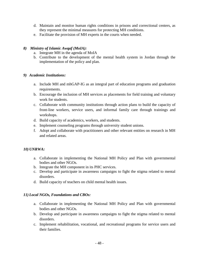- d. Maintain and monitor human rights conditions in prisons and correctional centers, as they represent the minimal measures for protecting MH conditions.
- e. Facilitate the provision of MH experts in the courts when needed.

### *8) Ministry of Islamic Awqaf (MoIA):*

- a. Integrate MH in the agenda of MoIA
- b. Contribute to the development of the mental health system in Jordan through the implementation of the policy and plan.

### *9) Academic Institutions:*

- a. Include MH and mhGAP-IG as an integral part of education programs and graduation requirements.
- b. Encourage the inclusion of MH services as placements for field training and voluntary work for students.
- c. Collaborate with community institutions through action plans to build the capacity of front-line workers, service users, and informal family care through trainings and workshops.
- d. Build capacity of academics, workers, and students.
- e. Implement counseling programs through university student unions.
- f. Adopt and collaborate with practitioners and other relevant entities on research in MH and related areas.

### *10) UNRWA:*

- a. Collaborate in implementing the National MH Policy and Plan with governmental bodies and other NGOs.
- b. Integrate the MH component in its PHC services.
- c. Develop and participate in awareness campaigns to fight the stigma related to mental disorders.
- d. Build capacity of teachers on child mental health issues.

### *11) Local NGOs, Foundations and CBOs:*

- a. Collaborate in implementing the National MH Policy and Plan with governmental bodies and other NGOs.
- b. Develop and participate in awareness campaigns to fight the stigma related to mental disorders.
- c. Implement rehabilitation, vocational, and recreational programs for service users and their families.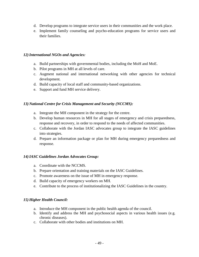- d. Develop programs to integrate service users in their communities and the work place.
- e. Implement family counseling and psycho-education programs for service users and their families.

### *12)International NGOs and Agencies:*

- a. Build partnerships with governmental bodies, including the MoH and MoE.
- b. Pilot programs in MH at all levels of care.
- c. Augment national and international networking with other agencies for technical development.
- d. Build capacity of local staff and community-based organizations.
- e. Support and fund MH service delivery.

### *13) National Centre for Crisis Management and Security (NCCMS):*

- a. Integrate the MH component in the strategy for the centre.
- b. Develop human resources in MH for all stages of emergency and crisis preparedness, response and recovery, in order to respond to the needs of affected communities.
- c. Collaborate with the Jordan IASC advocates group to integrate the IASC guidelines into strategies.
- d. Prepare an information package or plan for MH during emergency preparedness and response.

### *14)IASC Guidelines Jordan Advocates Group:*

- a. Coordinate with the NCCMS.
- b. Prepare orientation and training materials on the IASC Guidelines.
- c. Promote awareness on the issue of MH in emergency response.
- d. Build capacity of emergency workers on MH.
- e. Contribute to the process of institutionalizing the IASC Guidelines in the country.

### *15) Higher Health Council:*

- a. Introduce the MH component in the public health agenda of the council.
- b. Identify and address the MH and psychosocial aspects in various health issues (e.g. chronic diseases).
- c. Collaborate with other bodies and institutions on MH.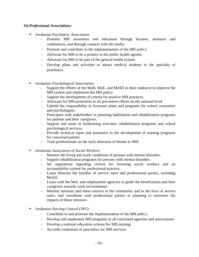### *16) Professional Associations:*

- *Jordanian Psychiatric Association:*
	- Promote MH awareness and education through lectures, seminars and conferences, and through contacts with the media.
	- Promote and contribute to the implementation of the MH policy.
	- Advocate for MH to be a priority in the public health agenda.
	- Advocate for MH to be part of the general health system.
	- Develop plans and activities to attract medical students to the specialty of psychiatry.
- *Jordanian Psychological Association:* 
	- Support the efforts of the MoH, MoE, and MoSD in their endeavor to improve the MH system and implement the MH policy.
	- Support the development of criteria for positive MH practices.
	- Advocate for MH promotion in all prevention efforts on the national level.
	- Uphold the responsibility in licensure plans and programs for school counselors and psychologists.
	- Participate with stakeholders in planning habilitation and rehabilitation programs for patients and their caregivers.
	- Support and assist in fundraising activities, rehabilitation programs and school psychological services.
	- Provide technical input and assistance in the development of training programs for concerned parties.
	- Train professionals on the early detection of threats to MH.
- *Jordanian Association of Social Workers:*
	- Monitor the living and work conditions of persons with mental disorders.
	- Support rehabilitation programs for persons with mental disorders.
	- Set regulations regarding criteria for licensing social workers and an accountability system for professional practice.
	- Liaise between the families of service users and professional parties, including MoSD.
	- Liaise with the MoL and employment agencies to guide the beneficiaries and their caregivers towards work environments.
	- Monitor stressors and stress sources in the community and in the lives of service users, and coordinate with professional parties in planning to minimize the impacts of these stressors.
- *Jordanian Nursing Council (JNC):* 
	- Contribute to and promote the implementation of the MH policy.
	- Develop and implement MH programs in all concerned agencies and associations.
	- Develop a national education scheme for MH nursing.
	- Accredit credentials of specialties for MH services.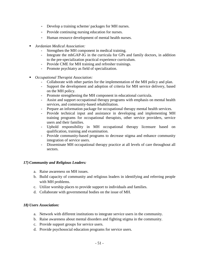- Develop a training scheme/ packages for MH nurses.
- Provide continuing nursing education for nurses.
- Human resource development of mental health nurses.
- *Jordanian Medical Association:*
	- Strengthen the MH component in medical training.
	- Integrate the mhGAP-IG in the curricula for GPs and family doctors, in addition to the pre-specialization practical experience curriculum.
	- Provide CME for MH training and refresher trainings.
	- Promote psychiatry as field of specialization.
- *Occupational Therapist Association:* 
	- Collaborate with other parties for the implementation of the MH policy and plan.
	- Support the development and adoption of criteria for MH service delivery, based on the MH policy.
	- Promote strengthening the MH component in educational curricula.
	- Assist and support occupational therapy programs with emphasis on mental health services, and community-based rehabilitation.
	- Prepare an information package for occupational therapy mental health services.
	- Provide technical input and assistance in developing and implementing MH training programs for occupational therapists, other service providers, service users and their families.
	- Uphold responsibility in MH occupational therapy licensure based on qualification, training and examination.
	- Provide community-based programs to decrease stigma and enhance community integration of service users.
	- Disseminate MH occupational therapy practice at all levels of care throughout all sectors.

### *17) Community and Religious Leaders:*

- a. Raise awareness on MH issues.
- b. Build capacity of community and religious leaders in identifying and referring people with MH problems.
- c. Utilize worship places to provide support to individuals and families.
- d. Collaborate with governmental bodies on the issue of MH.

### *18) Users Association:*

- a. Network with different institutions to integrate service users in the community.
- b. Raise awareness about mental disorders and fighting stigma in the community.
- c. Provide support groups for service users.
- d. Provide psychosocial education programs for service users.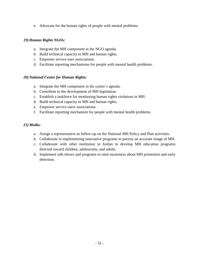e. Advocate for the human rights of people with mental problems.

### *19) Human Rights NGOs:*

- a. Integrate the MH component in the NGO agenda.
- b. Build technical capacity in MH and human rights.
- c. Empower service user associations.
- d. Facilitate reporting mechanisms for people with mental health problems.

### *20) National Centre for Human Rights:*

- a. Integrate the MH component in the centre's agenda.
- b. Contribute to the development of MH legislation.
- c. Establish a taskforce for monitoring human rights violations in MH.
- d. Build technical capacity in MH and human rights.
- e. Empower service users associations.
- f. Facilitate reporting mechanism for people with mental health problems.

### *21) Media:*

- a. Assign a representative to follow-up on the National MH Policy and Plan activities.
- b. Collaborate in implementing innovative programs to portray an accurate image of MH.
- c. Collaborate with other institution in Jordan to develop MH education programs directed toward children, adolescents, and adults.
- d. Implement talk-shows and programs to raise awareness about MH promotion and early detection.